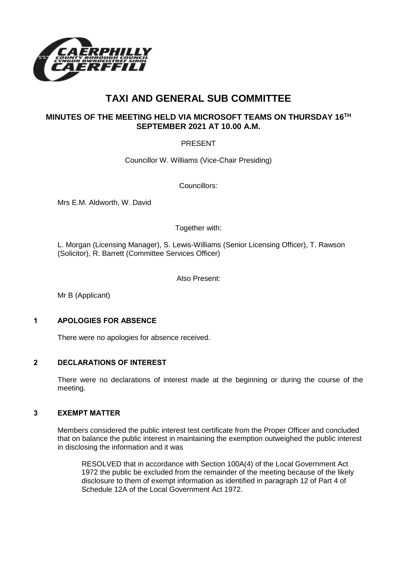

# **TAXI AND GENERAL SUB COMMITTEE**

# **MINUTES OF THE MEETING HELD VIA MICROSOFT TEAMS ON THURSDAY 16TH SEPTEMBER 2021 AT 10.00 A.M.**

# PRESENT

Councillor W. Williams (Vice-Chair Presiding)

Councillors:

Mrs E.M. Aldworth, W. David

Together with:

L. Morgan (Licensing Manager), S. Lewis-Williams (Senior Licensing Officer), T. Rawson (Solicitor), R. Barrett (Committee Services Officer)

Also Present:

Mr B (Applicant)

#### **1 APOLOGIES FOR ABSENCE**

There were no apologies for absence received.

## **2 DECLARATIONS OF INTEREST**

There were no declarations of interest made at the beginning or during the course of the meeting.

## **3 EXEMPT MATTER**

Members considered the public interest test certificate from the Proper Officer and concluded that on balance the public interest in maintaining the exemption outweighed the public interest in disclosing the information and it was

RESOLVED that in accordance with Section 100A(4) of the Local Government Act 1972 the public be excluded from the remainder of the meeting because of the likely disclosure to them of exempt information as identified in paragraph 12 of Part 4 of Schedule 12A of the Local Government Act 1972.